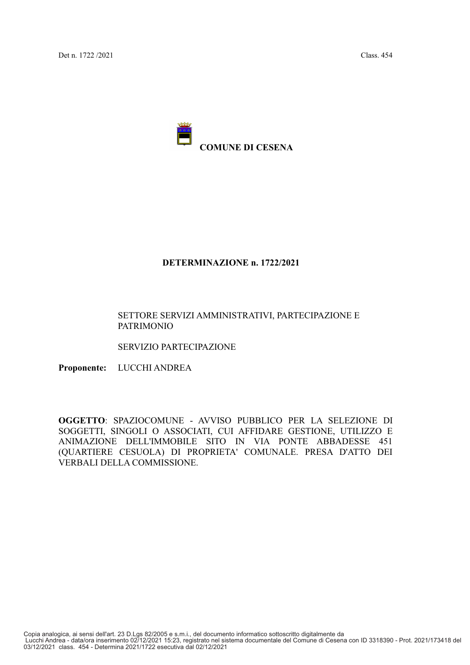

### DETERMINAZIONE n. 1722/2021

### SETTORE SERVIZI AMMINISTRATIVI, PARTECIPAZIONE E **PATRIMONIO**

SERVIZIO PARTECIPAZIONE

Proponente: LUCCHI ANDREA

OGGETTO: SPAZIOCOMUNE - AVVISO PUBBLICO PER LA SELEZIONE DI SOGGETTI, SINGOLI O ASSOCIATI, CUI AFFIDARE GESTIONE, UTILIZZO E ANIMAZIONE DELL'IMMOBILE SITO IN VIA PONTE ABBADESSE 451 (QUARTIERE CESUOLA) DI PROPRIETA' COMUNALE. PRESA D'ATTO DEI VERBALI DELLA COMMISSIONE.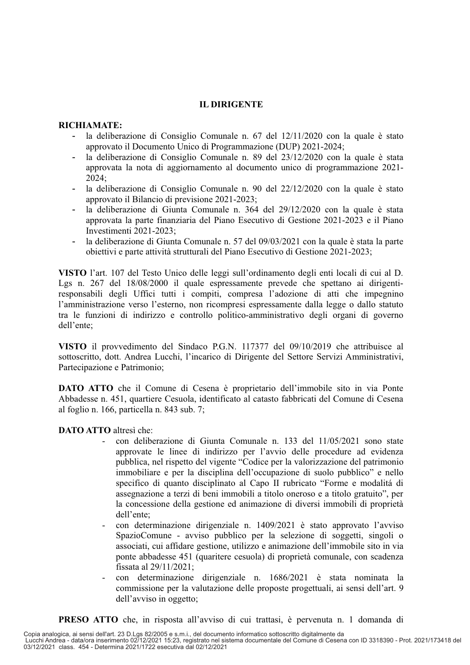## **IL DIRIGENTE**

#### RICHIAMATE:

- la deliberazione di Consiglio Comunale n. 67 del 12/11/2020 con la quale è stato approvato il Documento Unico di Programmazione (DUP) 2021-2024;
- la deliberazione di Consiglio Comunale n. 89 del 23/12/2020 con la quale è stata  $\overline{a}$ approvata la nota di aggiornamento al documento unico di programmazione 2021- $2024:$
- la deliberazione di Consiglio Comunale n. 90 del 22/12/2020 con la quale è stato  $\overline{a}$ approvato il Bilancio di previsione 2021-2023;
- la deliberazione di Giunta Comunale n. 364 del 29/12/2020 con la quale è stata  $\overline{a}$ approvata la parte finanziaria del Piano Esecutivo di Gestione 2021-2023 e il Piano Investimenti 2021-2023:
- la deliberazione di Giunta Comunale n. 57 del 09/03/2021 con la quale è stata la parte  $\overline{a}$ obiettivi e parte attività strutturali del Piano Esecutivo di Gestione 2021-2023;

VISTO l'art. 107 del Testo Unico delle leggi sull'ordinamento degli enti locali di cui al D. Lgs n. 267 del 18/08/2000 il quale espressamente prevede che spettano ai dirigentiresponsabili degli Uffici tutti i compiti, compresa l'adozione di atti che impegnino l'amministrazione verso l'esterno, non ricompresi espressamente dalla legge o dallo statuto tra le funzioni di indirizzo e controllo politico-amministrativo degli organi di governo dell'ente:

VISTO il provvedimento del Sindaco P.G.N. 117377 del 09/10/2019 che attribuisce al sottoscritto, dott. Andrea Lucchi, l'incarico di Dirigente del Settore Servizi Amministrativi, Partecipazione e Patrimonio;

DATO ATTO che il Comune di Cesena è proprietario dell'immobile sito in via Ponte Abbadesse n. 451, quartiere Cesuola, identificato al catasto fabbricati del Comune di Cesena al foglio n. 166, particella n. 843 sub. 7;

## **DATO ATTO** altresì che:

- con deliberazione di Giunta Comunale n. 133 del 11/05/2021 sono state approvate le linee di indirizzo per l'avvio delle procedure ad evidenza pubblica, nel rispetto del vigente "Codice per la valorizzazione del patrimonio immobiliare e per la disciplina dell'occupazione di suolo pubblico" e nello specifico di quanto disciplinato al Capo II rubricato "Forme e modalità di assegnazione a terzi di beni immobili a titolo oneroso e a titolo gratuito", per la concessione della gestione ed animazione di diversi immobili di proprietà dell'ente:
- con determinazione dirigenziale n. 1409/2021 è stato approvato l'avviso SpazioComune - avviso pubblico per la selezione di soggetti, singoli o associati, cui affidare gestione, utilizzo e animazione dell'immobile sito in via ponte abbadesse 451 (quaritere cesuola) di proprietà comunale, con scadenza fissata al 29/11/2021:
- con determinazione dirigenziale n. 1686/2021 è stata nominata la commissione per la valutazione delle proposte progettuali, ai sensi dell'art. 9 dell'avviso in oggetto;

**PRESO ATTO** che, in risposta all'avviso di cui trattasi, è pervenuta n. 1 domanda di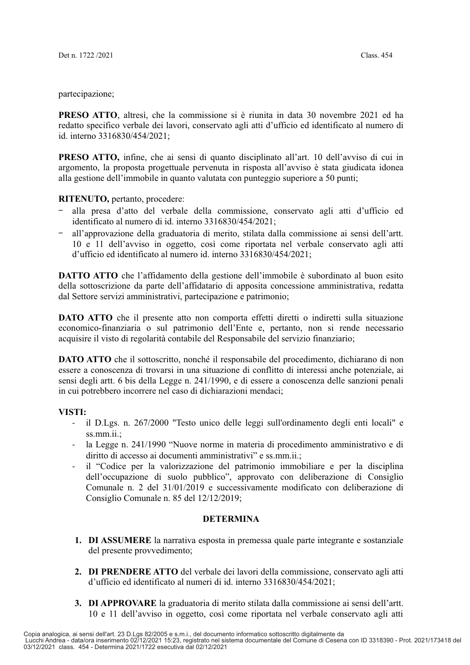partecipazione;

**PRESO ATTO.** altresì, che la commissione si è riunita in data 30 novembre 2021 ed ha redatto specifico verbale dei lavori, conservato agli atti d'ufficio ed identificato al numero di id. interno 3316830/454/2021;

**PRESO ATTO,** infine, che ai sensi di quanto disciplinato all'art. 10 dell'avviso di cui in argomento, la proposta progettuale pervenuta in risposta all'avviso è stata giudicata idonea alla gestione dell'immobile in quanto valutata con punteggio superiore a 50 punti;

### RITENUTO, pertanto, procedere:

- alla presa d'atto del verbale della commissione, conservato agli atti d'ufficio ed identificato al numero di id. interno 3316830/454/2021;
- all'approvazione della graduatoria di merito, stilata dalla commissione ai sensi dell'artt. 10 e 11 dell'avviso in oggetto, così come riportata nel verbale conservato agli atti d'ufficio ed identificato al numero id. interno 3316830/454/2021;

**DATTO** ATTO che l'affidamento della gestione dell'immobile è subordinato al buon esito della sottoscrizione da parte dell'affidatario di apposita concessione amministrativa, redatta dal Settore servizi amministrativi, partecipazione e patrimonio;

**DATO ATTO** che il presente atto non comporta effetti diretti o indiretti sulla situazione economico-finanziaria o sul patrimonio dell'Ente e, pertanto, non si rende necessario acquisire il visto di regolarità contabile del Responsabile del servizio finanziario;

**DATO ATTO** che il sottoscritto, nonché il responsabile del procedimento, dichiarano di non essere a conoscenza di trovarsi in una situazione di conflitto di interessi anche potenziale, ai sensi degli artt. 6 bis della Legge n. 241/1990, e di essere a conoscenza delle sanzioni penali in cui potrebbero incorrere nel caso di dichiarazioni mendaci;

## VISTI:

- il D.Lgs. n. 267/2000 "Testo unico delle leggi sull'ordinamento degli enti locali" e  $ss.mm.ii.$
- la Legge n. 241/1990 "Nuove norme in materia di procedimento amministrativo e di  $\omega_{\rm{eff}}$ diritto di accesso ai documenti amministrativi" e ss.mm.ii.;
- il "Codice per la valorizzazione del patrimonio immobiliare e per la disciplina  $\overline{a}$ dell'occupazione di suolo pubblico", approvato con deliberazione di Consiglio Comunale n. 2 del 31/01/2019 e successivamente modificato con deliberazione di Consiglio Comunale n. 85 del 12/12/2019;

#### **DETERMINA**

- **1. DI ASSUMERE** la narrativa esposta in premessa quale parte integrante e sostanziale del presente provvedimento;
- 2. DI PRENDERE ATTO del verbale dei lavori della commissione, conservato agli atti d'ufficio ed identificato al numeri di id. interno 3316830/454/2021;
- 3. DI APPROVARE la graduatoria di merito stilata dalla commissione ai sensi dell'artt. 10 e 11 dell'avviso in oggetto, così come riportata nel verbale conservato agli atti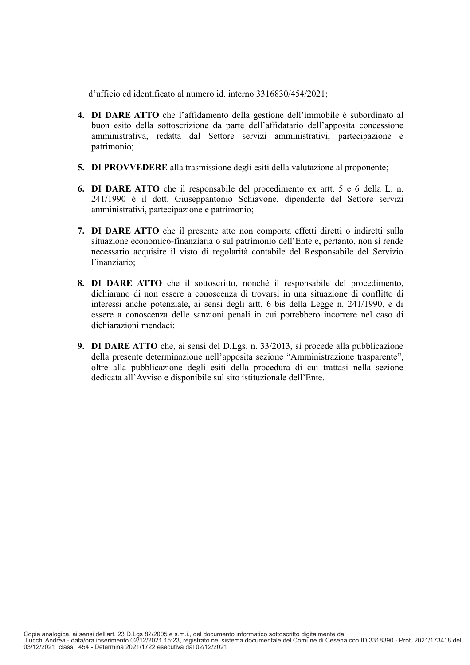d'ufficio ed identificato al numero id. interno 3316830/454/2021;

- 4. DI DARE ATTO che l'affidamento della gestione dell'immobile è subordinato al buon esito della sottoscrizione da parte dell'affidatario dell'apposita concessione amministrativa, redatta dal Settore servizi amministrativi, partecipazione e patrimonio;
- 5. DI PROVVEDERE alla trasmissione degli esiti della valutazione al proponente;
- **6. DI DARE ATTO** che il responsabile del procedimento ex artt. 5 e 6 della L. n. 241/1990 è il dott. Giuseppantonio Schiavone, dipendente del Settore servizi amministrativi, partecipazione e patrimonio;
- 7. DI DARE ATTO che il presente atto non comporta effetti diretti o indiretti sulla situazione economico-finanziaria o sul patrimonio dell'Ente e, pertanto, non si rende necessario acquisire il visto di regolarità contabile del Responsabile del Servizio Finanziario;
- 8. DI DARE ATTO che il sottoscritto, nonché il responsabile del procedimento. dichiarano di non essere a conoscenza di trovarsi in una situazione di conflitto di interessi anche potenziale, ai sensi degli artt. 6 bis della Legge n. 241/1990, e di essere a conoscenza delle sanzioni penali in cui potrebbero incorrere nel caso di dichiarazioni mendaci:
- 9. DI DARE ATTO che, ai sensi del D.Lgs. n. 33/2013, si procede alla pubblicazione della presente determinazione nell'apposita sezione "Amministrazione trasparente", oltre alla pubblicazione degli esiti della procedura di cui trattasi nella sezione dedicata all'Avviso e disponibile sul sito istituzionale dell'Ente.